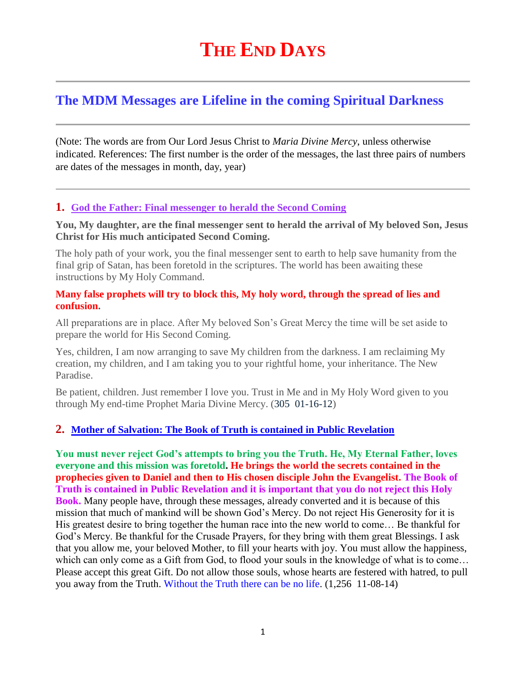# **THE END DAYS**

## **The MDM Messages are Lifeline in the coming Spiritual Darkness**

(Note: The words are from Our Lord Jesus Christ to *Maria Divine Mercy*, unless otherwise indicated. References: The first number is the order of the messages, the last three pairs of numbers are dates of the messages in month, day, year)

#### **1. [God the Father: Final messenger to herald the Second Coming](http://www.thewarningsecondcoming.com/god-the-father-the-last-end-time-prophet/)**

**You, My daughter, are the final messenger sent to herald the arrival of My beloved Son, Jesus Christ for His much anticipated Second Coming.**

The holy path of your work, you the final messenger sent to earth to help save humanity from the final grip of Satan, has been foretold in the scriptures. The world has been awaiting these instructions by My Holy Command.

#### **Many false prophets will try to block this, My holy word, through the spread of lies and confusion.**

All preparations are in place. After My beloved Son's Great Mercy the time will be set aside to prepare the world for His Second Coming.

Yes, children, I am now arranging to save My children from the darkness. I am reclaiming My creation, my children, and I am taking you to your rightful home, your inheritance. The New Paradise.

Be patient, children. Just remember I love you. Trust in Me and in My Holy Word given to you through My end-time Prophet Maria Divine Mercy. (305 01-16-12)

## **2. [Mother of Salvation: The Book of Truth is contained in Public Revelation](http://www.thewarningsecondcoming.com/mother-of-salvation-the-book-of-truth-is-contained-in-public-revelation/)**

**You must never reject God's attempts to bring you the Truth. He, My Eternal Father, loves everyone and this mission was foretold. He brings the world the secrets contained in the prophecies given to Daniel and then to His chosen disciple John the Evangelist. The Book of Truth is contained in Public Revelation and it is important that you do not reject this Holy Book.** Many people have, through these messages, already converted and it is because of this mission that much of mankind will be shown God's Mercy. Do not reject His Generosity for it is His greatest desire to bring together the human race into the new world to come… Be thankful for God's Mercy. Be thankful for the Crusade Prayers, for they bring with them great Blessings. I ask that you allow me, your beloved Mother, to fill your hearts with joy. You must allow the happiness, which can only come as a Gift from God, to flood your souls in the knowledge of what is to come… Please accept this great Gift. Do not allow those souls, whose hearts are festered with hatred, to pull you away from the Truth. Without the Truth there can be no life. (1,256 11-08-14)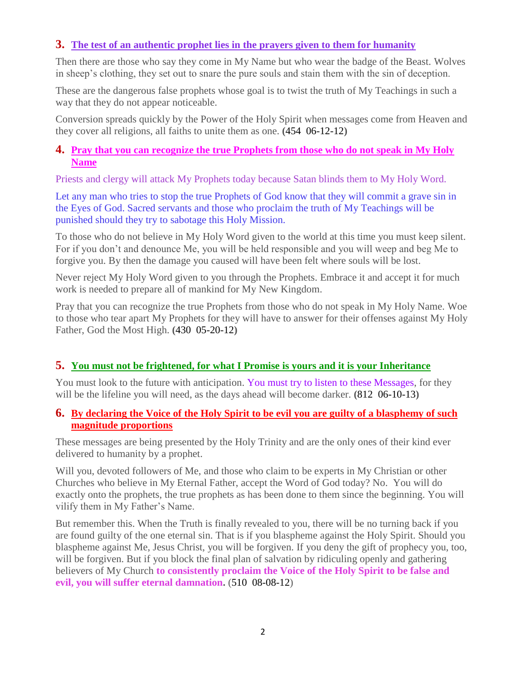## **3. [The test of an authentic prophet lies in the prayers given to them for humanity](http://www.thewarningsecondcoming.com/the-test-of-an-authentic-prophet-lies-in-the-prayers-given-to-them-for-humanity/)**

Then there are those who say they come in My Name but who wear the badge of the Beast. Wolves in sheep's clothing, they set out to snare the pure souls and stain them with the sin of deception.

These are the dangerous false prophets whose goal is to twist the truth of My Teachings in such a way that they do not appear noticeable.

Conversion spreads quickly by the Power of the Holy Spirit when messages come from Heaven and they cover all religions, all faiths to unite them as one. **(**454 06-12-12**)**

### **4. [Pray that you can recognize the true Prophets from those who do not speak in My Holy](http://www.thewarningsecondcoming.com/pray-that-you-can-recognise-the-true-prophets-from-those-who-do-not-speak-in-my-holy-name/)  [Name](http://www.thewarningsecondcoming.com/pray-that-you-can-recognise-the-true-prophets-from-those-who-do-not-speak-in-my-holy-name/)**

Priests and clergy will attack My Prophets today because Satan blinds them to My Holy Word.

Let any man who tries to stop the true Prophets of God know that they will commit a grave sin in the Eyes of God. Sacred servants and those who proclaim the truth of My Teachings will be punished should they try to sabotage this Holy Mission.

To those who do not believe in My Holy Word given to the world at this time you must keep silent. For if you don't and denounce Me, you will be held responsible and you will weep and beg Me to forgive you. By then the damage you caused will have been felt where souls will be lost.

Never reject My Holy Word given to you through the Prophets. Embrace it and accept it for much work is needed to prepare all of mankind for My New Kingdom.

Pray that you can recognize the true Prophets from those who do not speak in My Holy Name. Woe to those who tear apart My Prophets for they will have to answer for their offenses against My Holy Father, God the Most High. **(**430 05-20-12**)**

## **5. [You must not be frightened, for what I Promise is yours and it is your Inheritance](http://www.thewarningsecondcoming.com/you-must-not-be-frightened-for-what-i-promise-is-yours-and-it-is-your-inheritance/)**

You must look to the future with anticipation. You must try to listen to these Messages, for they will be the lifeline you will need, as the days ahead will become darker. **(**812 06-10-13**)**

#### **6. [By declaring the Voice of the Holy Spirit to be evil you are guilty of a blasphemy of such](http://www.thewarningsecondcoming.com/by-declaring-the-voice-of-the-holy-spirit-to-be-evil-you-are-guilty-of-a-blasphemy-of-such-magnitude-proportions/)  [magnitude proportions](http://www.thewarningsecondcoming.com/by-declaring-the-voice-of-the-holy-spirit-to-be-evil-you-are-guilty-of-a-blasphemy-of-such-magnitude-proportions/)**

These messages are being presented by the Holy Trinity and are the only ones of their kind ever delivered to humanity by a prophet.

Will you, devoted followers of Me, and those who claim to be experts in My Christian or other Churches who believe in My Eternal Father, accept the Word of God today? No. You will do exactly onto the prophets, the true prophets as has been done to them since the beginning. You will vilify them in My Father's Name.

But remember this. When the Truth is finally revealed to you, there will be no turning back if you are found guilty of the one eternal sin. That is if you blaspheme against the Holy Spirit. Should you blaspheme against Me, Jesus Christ, you will be forgiven. If you deny the gift of prophecy you, too, will be forgiven. But if you block the final plan of salvation by ridiculing openly and gathering believers of My Church **to consistently proclaim the Voice of the Holy Spirit to be false and evil, you will suffer eternal damnation.** (510 08-08-12)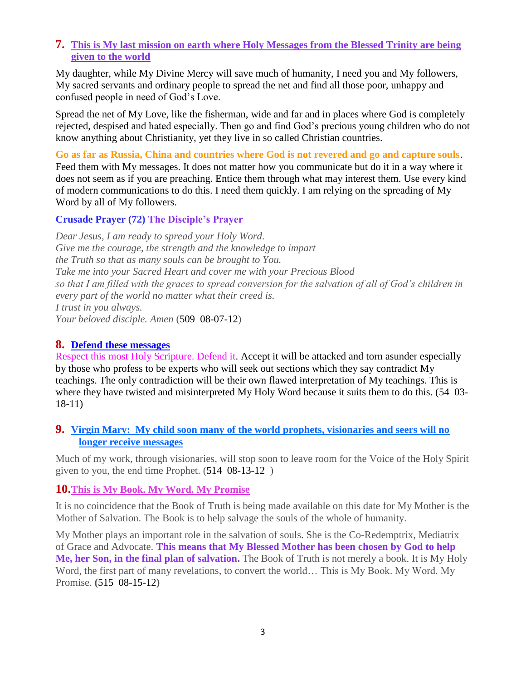#### **7. [This is My last mission on earth where Holy Messages from the Blessed Trinity are being](http://www.thewarningsecondcoming.com/this-is-my-last-mission-on-earth-where-holy-messages-from-the-blessed-trinity-are-being-given-to-the-world/)  [given to the world](http://www.thewarningsecondcoming.com/this-is-my-last-mission-on-earth-where-holy-messages-from-the-blessed-trinity-are-being-given-to-the-world/)**

My daughter, while My Divine Mercy will save much of humanity, I need you and My followers, My sacred servants and ordinary people to spread the net and find all those poor, unhappy and confused people in need of God's Love.

Spread the net of My Love, like the fisherman, wide and far and in places where God is completely rejected, despised and hated especially. Then go and find God's precious young children who do not know anything about Christianity, yet they live in so called Christian countries.

**Go as far as Russia, China and countries where God is not revered and go and capture souls**. Feed them with My messages. It does not matter how you communicate but do it in a way where it does not seem as if you are preaching. Entice them through what may interest them. Use every kind of modern communications to do this. I need them quickly. I am relying on the spreading of My Word by all of My followers.

#### **Crusade Prayer (72) The Disciple's Prayer**

*Dear Jesus, I am ready to spread your Holy Word. Give me the courage, the strength and the knowledge to impart the Truth so that as many souls can be brought to You. Take me into your Sacred Heart and cover me with your Precious Blood so that I am filled with the graces to spread conversion for the salvation of all of God's children in every part of the world no matter what their creed is. I trust in you always. Your beloved disciple. Amen* (509 08-07-12)

#### **8. Defend these messages**

Respect this most Holy Scripture. Defend it. Accept it will be attacked and torn asunder especially by those who profess to be experts who will seek out sections which they say contradict My teachings. The only contradiction will be their own flawed interpretation of My teachings. This is where they have twisted and misinterpreted My Holy Word because it suits them to do this. (54 03- 18-11)

#### **9. [Virgin Mary: My child soon many of the world prophets, visionaries and seers will no](http://www.thewarningsecondcoming.com/virgin-mary-my-child-soon-many-of-the-world-prophets-visionaries-and-seers-will-no-longer-receive-messages/)  [longer receive messages](http://www.thewarningsecondcoming.com/virgin-mary-my-child-soon-many-of-the-world-prophets-visionaries-and-seers-will-no-longer-receive-messages/)**

Much of my work, through visionaries, will stop soon to leave room for the Voice of the Holy Spirit given to you, the end time Prophet. (514 08-13-12 )

#### **10.[This is My Book. My Word. My Promise](http://www.thewarningsecondcoming.com/this-is-my-book-my-word-my-promise/)**

It is no coincidence that the Book of Truth is being made available on this date for My Mother is the Mother of Salvation. The Book is to help salvage the souls of the whole of humanity.

My Mother plays an important role in the salvation of souls. She is the Co-Redemptrix, Mediatrix of Grace and Advocate. **This means that My Blessed Mother has been chosen by God to help Me, her Son, in the final plan of salvation.** The Book of Truth is not merely a book. It is My Holy Word, the first part of many revelations, to convert the world… This is My Book. My Word. My Promise. **(**515 08-15-12**)**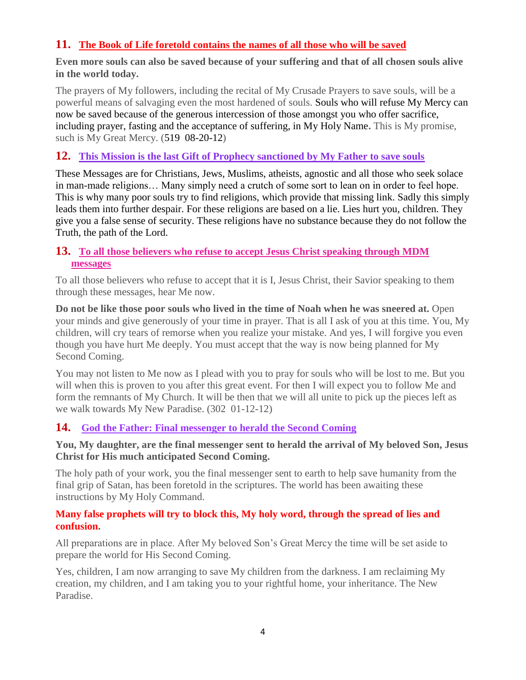## **11. [The Book of Life foretold contains the names of all those who will be saved](http://www.thewarningsecondcoming.com/the-book-of-life-foretold-contains-the-names-of-all-those-who-will-be-saved/)**

**Even more souls can also be saved because of your suffering and that of all chosen souls alive in the world today.**

The prayers of My followers, including the recital of My Crusade Prayers to save souls, will be a powerful means of salvaging even the most hardened of souls. Souls who will refuse My Mercy can now be saved because of the generous intercession of those amongst you who offer sacrifice, including prayer, fasting and the acceptance of suffering, in My Holy Name**.** This is My promise, such is My Great Mercy. (519 08-20-12)

## **12. [This Mission is the last Gift of Prophecy sanctioned by My Father to save souls](http://www.thewarningsecondcoming.com/this-mission-is-the-last-gift-of-prophecy-sanctioned-by-my-father-to-save-souls/)**

These Messages are for Christians, Jews, Muslims, atheists, agnostic and all those who seek solace in man-made religions… Many simply need a crutch of some sort to lean on in order to feel hope. This is why many poor souls try to find religions, which provide that missing link. Sadly this simply leads them into further despair. For these religions are based on a lie. Lies hurt you, children. They give you a false sense of security. These religions have no substance because they do not follow the Truth, the path of the Lord.

### **13. To all those believers who refuse to accept Jesus Christ speaking through MDM messages**

To all those believers who refuse to accept that it is I, Jesus Christ, their Savior speaking to them through these messages, hear Me now.

**Do not be like those poor souls who lived in the time of Noah when he was sneered at.** Open your minds and give generously of your time in prayer. That is all I ask of you at this time. You, My children, will cry tears of remorse when you realize your mistake. And yes, I will forgive you even though you have hurt Me deeply. You must accept that the way is now being planned for My Second Coming.

You may not listen to Me now as I plead with you to pray for souls who will be lost to me. But you will when this is proven to you after this great event. For then I will expect you to follow Me and form the remnants of My Church. It will be then that we will all unite to pick up the pieces left as we walk towards My New Paradise. (302 01-12-12)

## **14. [God the Father: Final messenger to herald the Second Coming](http://www.thewarningsecondcoming.com/god-the-father-the-last-end-time-prophet/)**

#### **You, My daughter, are the final messenger sent to herald the arrival of My beloved Son, Jesus Christ for His much anticipated Second Coming.**

The holy path of your work, you the final messenger sent to earth to help save humanity from the final grip of Satan, has been foretold in the scriptures. The world has been awaiting these instructions by My Holy Command.

#### **Many false prophets will try to block this, My holy word, through the spread of lies and confusion.**

All preparations are in place. After My beloved Son's Great Mercy the time will be set aside to prepare the world for His Second Coming.

Yes, children, I am now arranging to save My children from the darkness. I am reclaiming My creation, my children, and I am taking you to your rightful home, your inheritance. The New Paradise.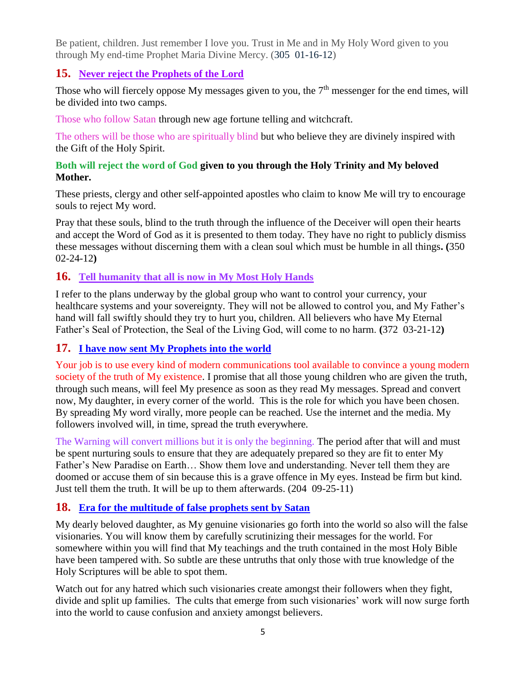Be patient, children. Just remember I love you. Trust in Me and in My Holy Word given to you through My end-time Prophet Maria Divine Mercy. (305 01-16-12)

## **15. [Never reject the Prophets of the Lord](http://www.thewarningsecondcoming.com/never-reject-the-prophets-of-the-lord/)**

Those who will fiercely oppose My messages given to you, the  $7<sup>th</sup>$  messenger for the end times, will be divided into two camps.

Those who follow Satan through new age fortune telling and witchcraft.

The others will be those who are spiritually blind but who believe they are divinely inspired with the Gift of the Holy Spirit.

#### **Both will reject the word of God given to you through the Holy Trinity and My beloved Mother.**

These priests, clergy and other self-appointed apostles who claim to know Me will try to encourage souls to reject My word.

Pray that these souls, blind to the truth through the influence of the Deceiver will open their hearts and accept the Word of God as it is presented to them today. They have no right to publicly dismiss these messages without discerning them with a clean soul which must be humble in all things**. (**350 02-24-12**)**

## **16. [Tell humanity that all is now in My Most Holy Hands](http://www.thewarningsecondcoming.com/tell-humanity-that-all-is-now-in-my-most-holy-hands/)**

I refer to the plans underway by the global group who want to control your currency, your healthcare systems and your sovereignty. They will not be allowed to control you, and My Father's hand will fall swiftly should they try to hurt you, children. All believers who have My Eternal Father's Seal of Protection, the Seal of the Living God, will come to no harm. **(**372 03-21-12**)**

#### **17. [I have now sent My Prophets into the world](http://www.thewarningsecondcoming.com/i-have-now-sent-my-prophets-into-the-world/)**

Your job is to use every kind of modern communications tool available to convince a young modern society of the truth of My existence. I promise that all those young children who are given the truth, through such means, will feel My presence as soon as they read My messages. Spread and convert now, My daughter, in every corner of the world. This is the role for which you have been chosen. By spreading My word virally, more people can be reached. Use the internet and the media. My followers involved will, in time, spread the truth everywhere.

The Warning will convert millions but it is only the beginning. The period after that will and must be spent nurturing souls to ensure that they are adequately prepared so they are fit to enter My Father's New Paradise on Earth… Show them love and understanding. Never tell them they are doomed or accuse them of sin because this is a grave offence in My eyes. Instead be firm but kind. Just tell them the truth. It will be up to them afterwards. (204 09-25-11)

## **18. [Era for the multitude of false prophets sent by Satan](http://www.thewarningsecondcoming.com/era-for-the-multitude-of-false-prophets-sent-by-satan/)**

My dearly beloved daughter, as My genuine visionaries go forth into the world so also will the false visionaries. You will know them by carefully scrutinizing their messages for the world. For somewhere within you will find that My teachings and the truth contained in the most Holy Bible have been tampered with. So subtle are these untruths that only those with true knowledge of the Holy Scriptures will be able to spot them.

Watch out for any hatred which such visionaries create amongst their followers when they fight, divide and split up families. The cults that emerge from such visionaries' work will now surge forth into the world to cause confusion and anxiety amongst believers.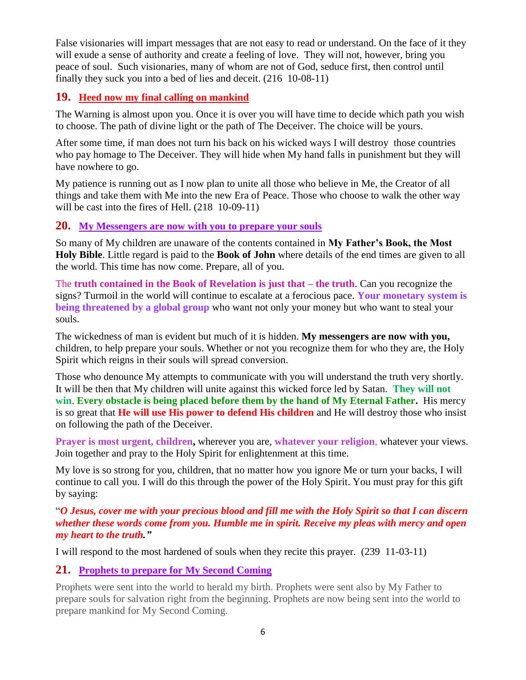False visionaries will impart messages that are not easy to read or understand. On the face of it they will exude a sense of authority and create a feeling of love. They will not, however, bring you peace of soul. Such visionaries, many of whom are not of God, seduce first, then control until finally they suck you into a bed of lies and deceit. (216 10-08-11)

#### **19. Heed now my final calling on mankind**

The Warning is almost upon you. Once it is over you will have time to decide which path you wish to choose. The path of divine light or the path of The Deceiver. The choice will be yours.

After some time, if man does not turn his back on his wicked ways I will destroy those countries who pay homage to The Deceiver. They will hide when My hand falls in punishment but they will have nowhere to go.

My patience is running out as I now plan to unite all those who believe in Me, the Creator of all things and take them with Me into the new Era of Peace. Those who choose to walk the other way will be cast into the fires of Hell. (218 10-09-11)

#### **20. [My Messengers are now with you to prepare your souls](http://www.thewarningsecondcoming.com/my-messengers-are-now-with-you-to-prepare-your-souls/)**

So many of My children are unaware of the contents contained in **My Father's Book, the Most Holy Bible**. Little regard is paid to the **Book of John** where details of the end times are given to all the world. This time has now come. Prepare, all of you.

The **truth contained in the Book of Revelation is just that – the truth**. Can you recognize the signs? Turmoil in the world will continue to escalate at a ferocious pace. **Your monetary system is being threatened by a global group** who want not only your money but who want to steal your souls.

The wickedness of man is evident but much of it is hidden. **My messengers are now with you,** children, to help prepare your souls. Whether or not you recognize them for who they are, the Holy Spirit which reigns in their souls will spread conversion.

Those who denounce My attempts to communicate with you will understand the truth very shortly. It will be then that My children will unite against this wicked force led by Satan. **They will not win**. **Every obstacle is being placed before them by the hand of My Eternal Father.** His mercy is so great that **He will use His power to defend His children** and He will destroy those who insist on following the path of the Deceiver.

**Prayer is most urgent, children,** wherever you are, **whatever your religion**, whatever your views. Join together and pray to the Holy Spirit for enlightenment at this time.

My love is so strong for you, children, that no matter how you ignore Me or turn your backs, I will continue to call you. I will do this through the power of the Holy Spirit. You must pray for this gift by saying:

"*O Jesus, cover me with your precious blood and fill me with the Holy Spirit so that I can discern whether these words come from you. Humble me in spirit. Receive my pleas with mercy and open my heart to the truth."*

I will respond to the most hardened of souls when they recite this prayer. (239 11-03-11)

## **21. [Prophets to prepare for My Second Coming](http://www.thewarningsecondcoming.com/prophets-to-prepare-for-my-second-coming/)**

Prophets were sent into the world to herald my birth. Prophets were sent also by My Father to prepare souls for salvation right from the beginning. Prophets are now being sent into the world to prepare mankind for My Second Coming.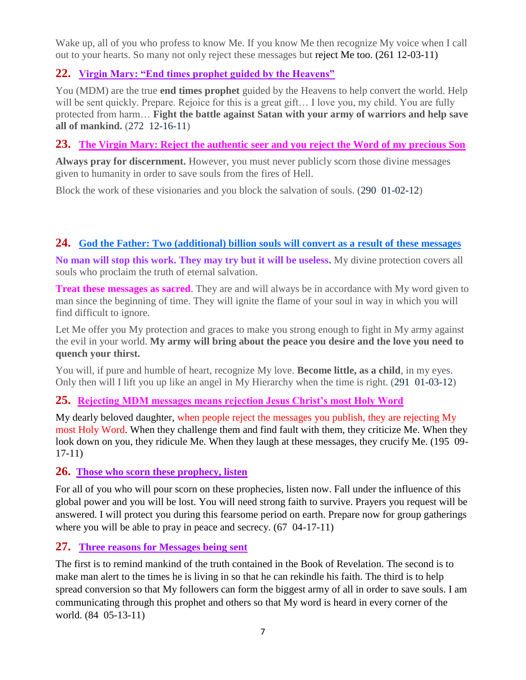Wake up, all of you who profess to know Me. If you know Me then recognize My voice when I call out to your hearts. So many not only reject these messages but reject Me too. (261 12-03-11)

## **22. [Virgin Mary: "End times prophet guided by the Heavens"](http://www.thewarningsecondcoming.com/virgin-mary-end-times-prophet-guided-by-the-heavens-2/)**

You (MDM) are the true **end times prophet** guided by the Heavens to help convert the world. Help will be sent quickly. Prepare. Rejoice for this is a great gift... I love you, my child. You are fully protected from harm… **Fight the battle against Satan with your army of warriors and help save all of mankind.** (272 12-16-11)

## **23. The Virgin Mary: Reject the authentic seer and you reject the Word of my precious Son**

**Always pray for discernment.** However, you must never publicly scorn those divine messages given to humanity in order to save souls from the fires of Hell.

Block the work of these visionaries and you block the salvation of souls. (290 01-02-12)

## **24. [God the Father: Two \(additional\) billion souls will convert as a result of these messages](http://www.thewarningsecondcoming.com/god-the-father-my-army-will-bring-about-the-peace-you-desire/)**

**No man will stop this work. They may try but it will be useless.** My divine protection covers all souls who proclaim the truth of eternal salvation.

**Treat these messages as sacred.** They are and will always be in accordance with My word given to man since the beginning of time. They will ignite the flame of your soul in way in which you will find difficult to ignore.

Let Me offer you My protection and graces to make you strong enough to fight in My army against the evil in your world. **My army will bring about the peace you desire and the love you need to quench your thirst.**

You will, if pure and humble of heart, recognize My love. **Become little, as a child**, in my eyes. Only then will I lift you up like an angel in My Hierarchy when the time is right. (291 01-03-12)

## **25. Rejecting MDM messages means rejection Jesus Christ's most Holy Word**

My dearly beloved daughter, when people reject the messages you publish, they are rejecting My most Holy Word. When they challenge them and find fault with them, they criticize Me. When they look down on you, they ridicule Me. When they laugh at these messages, they crucify Me. (195 09- 17-11)

#### **26. Those who scorn these prophecy, listen**

For all of you who will pour scorn on these prophecies, listen now. Fall under the influence of this global power and you will be lost. You will need strong faith to survive. Prayers you request will be answered. I will protect you during this fearsome period on earth. Prepare now for group gatherings where you will be able to pray in peace and secrecy. (67 04-17-11)

## **27. Three reasons for Messages being sent**

The first is to remind mankind of the truth contained in the Book of Revelation. The second is to make man alert to the times he is living in so that he can rekindle his faith. The third is to help spread conversion so that My followers can form the biggest army of all in order to save souls. I am communicating through this prophet and others so that My word is heard in every corner of the world. (84 05-13-11)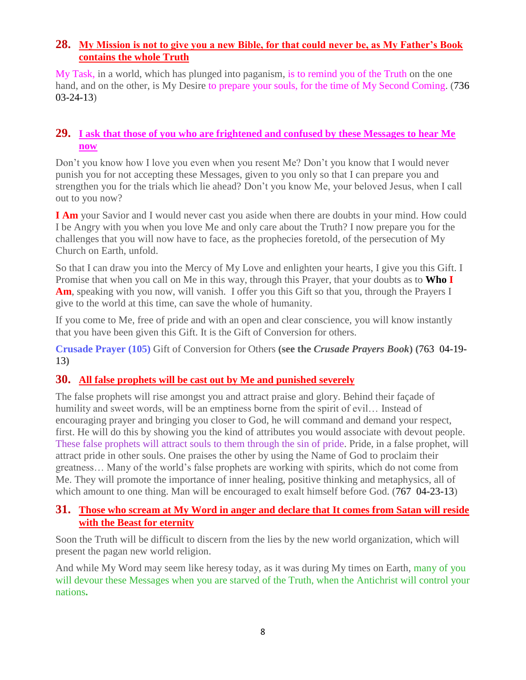### **28. [My Mission is not to give you a new Bible, for that could never be, as My Father's Book](http://www.thewarningsecondcoming.com/my-mission-is-not-to-give-you-a-new-bible-for-that-could-never-be-as-my-fathers-book-contains-the-whole-truth/)  [contains the whole Truth](http://www.thewarningsecondcoming.com/my-mission-is-not-to-give-you-a-new-bible-for-that-could-never-be-as-my-fathers-book-contains-the-whole-truth/)**

My Task, in a world, which has plunged into paganism, is to remind you of the Truth on the one hand, and on the other, is My Desire to prepare your souls, for the time of My Second Coming. (736 03-24-13)

#### **29. [I ask that those of you who are frightened and confused by these Messages to hear Me](http://www.thewarningsecondcoming.com/i-ask-that-those-of-you-who-are-frightened-and-confused-by-these-messages-to-hear-me-now/)  [now](http://www.thewarningsecondcoming.com/i-ask-that-those-of-you-who-are-frightened-and-confused-by-these-messages-to-hear-me-now/)**

Don't you know how I love you even when you resent Me? Don't you know that I would never punish you for not accepting these Messages, given to you only so that I can prepare you and strengthen you for the trials which lie ahead? Don't you know Me, your beloved Jesus, when I call out to you now?

**I Am** your Savior and I would never cast you aside when there are doubts in your mind. How could I be Angry with you when you love Me and only care about the Truth? I now prepare you for the challenges that you will now have to face, as the prophecies foretold, of the persecution of My Church on Earth, unfold.

So that I can draw you into the Mercy of My Love and enlighten your hearts, I give you this Gift. I Promise that when you call on Me in this way, through this Prayer, that your doubts as to **Who I Am**, speaking with you now, will vanish. I offer you this Gift so that you, through the Prayers I give to the world at this time, can save the whole of humanity.

If you come to Me, free of pride and with an open and clear conscience, you will know instantly that you have been given this Gift. It is the Gift of Conversion for others.

**Crusade Prayer (105)** Gift of Conversion for Others **(see the** *Crusade Prayers Book***) (**763 04-19- 13**)**

## **30. [All false prophets will be cast out by Me and punished severely](http://www.thewarningsecondcoming.com/all-false-prophets-will-be-cast-out-by-me-and-punished-severely/)**

The false prophets will rise amongst you and attract praise and glory. Behind their façade of humility and sweet words, will be an emptiness borne from the spirit of evil... Instead of encouraging prayer and bringing you closer to God, he will command and demand your respect, first. He will do this by showing you the kind of attributes you would associate with devout people. These false prophets will attract souls to them through the sin of pride. Pride, in a false prophet, will attract pride in other souls. One praises the other by using the Name of God to proclaim their greatness… Many of the world's false prophets are working with spirits, which do not come from Me. They will promote the importance of inner healing, positive thinking and metaphysics, all of which amount to one thing. Man will be encouraged to exalt himself before God. (767 04-23-13)

#### **31. [Those who scream at My Word in anger and declare that It comes from Satan will reside](http://www.thewarningsecondcoming.com/those-who-scream-at-my-word-in-anger-and-declare-that-it-comes-from-satan-will-reside-with-the-beast-for-eternity/)  [with the Beast for eternity](http://www.thewarningsecondcoming.com/those-who-scream-at-my-word-in-anger-and-declare-that-it-comes-from-satan-will-reside-with-the-beast-for-eternity/)**

Soon the Truth will be difficult to discern from the lies by the new world organization, which will present the pagan new world religion.

And while My Word may seem like heresy today, as it was during My times on Earth, many of you will devour these Messages when you are starved of the Truth, when the Antichrist will control your nations**.**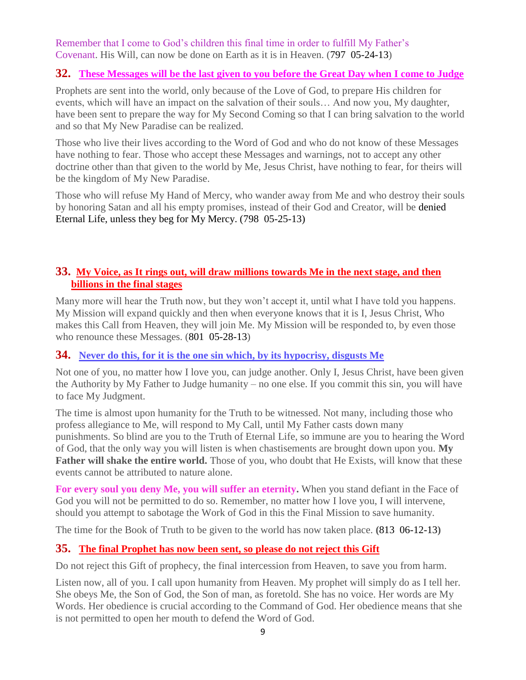Remember that I come to God's children this final time in order to fulfill My Father's Covenant. His Will, can now be done on Earth as it is in Heaven. (797 05-24-13)

#### **32. [These Messages will be the last given to you before the Great Day when I come to Judge](http://www.thewarningsecondcoming.com/these-messages-will-be-the-last-given-to-you-before-the-great-day-when-i-come-to-judge/)**

Prophets are sent into the world, only because of the Love of God, to prepare His children for events, which will have an impact on the salvation of their souls… And now you, My daughter, have been sent to prepare the way for My Second Coming so that I can bring salvation to the world and so that My New Paradise can be realized.

Those who live their lives according to the Word of God and who do not know of these Messages have nothing to fear. Those who accept these Messages and warnings, not to accept any other doctrine other than that given to the world by Me, Jesus Christ, have nothing to fear, for theirs will be the kingdom of My New Paradise.

Those who will refuse My Hand of Mercy, who wander away from Me and who destroy their souls by honoring Satan and all his empty promises, instead of their God and Creator, will be denied Eternal Life, unless they beg for My Mercy. (798 05-25-13)

### **33. [My Voice, as It rings out, will draw millions towards Me in the next stage, and then](http://www.thewarningsecondcoming.com/my-voice-as-it-rings-out-will-draw-millions-towards-me-in-the-next-stage-and-then-billions-in-the-final-stages/)  [billions in the final stages](http://www.thewarningsecondcoming.com/my-voice-as-it-rings-out-will-draw-millions-towards-me-in-the-next-stage-and-then-billions-in-the-final-stages/)**

Many more will hear the Truth now, but they won't accept it, until what I have told you happens. My Mission will expand quickly and then when everyone knows that it is I, Jesus Christ, Who makes this Call from Heaven, they will join Me. My Mission will be responded to, by even those who renounce these Messages. (801 05-28-13)

## **34. [Never do this, for it is the one sin which, by its hypocrisy, disgusts Me](http://www.thewarningsecondcoming.com/never-do-this-for-it-is-the-one-sin-which-by-its-hypocrisy-disgusts-me/)**

Not one of you, no matter how I love you, can judge another. Only I, Jesus Christ, have been given the Authority by My Father to Judge humanity – no one else. If you commit this sin, you will have to face My Judgment.

The time is almost upon humanity for the Truth to be witnessed. Not many, including those who profess allegiance to Me, will respond to My Call, until My Father casts down many punishments. So blind are you to the Truth of Eternal Life, so immune are you to hearing the Word of God, that the only way you will listen is when chastisements are brought down upon you. **My Father will shake the entire world.** Those of you, who doubt that He Exists, will know that these events cannot be attributed to nature alone.

**For every soul you deny Me, you will suffer an eternity.** When you stand defiant in the Face of God you will not be permitted to do so. Remember, no matter how I love you, I will intervene, should you attempt to sabotage the Work of God in this the Final Mission to save humanity.

The time for the Book of Truth to be given to the world has now taken place. **(**813 06-12-13**)**

## **35. [The final Prophet has now been sent, so please do not reject this Gift](http://www.thewarningsecondcoming.com/the-final-prophet-has-now-been-sent-so-please-do-not-reject-this-gift/)**

Do not reject this Gift of prophecy, the final intercession from Heaven, to save you from harm.

Listen now, all of you. I call upon humanity from Heaven. My prophet will simply do as I tell her. She obeys Me, the Son of God, the Son of man, as foretold. She has no voice. Her words are My Words. Her obedience is crucial according to the Command of God. Her obedience means that she is not permitted to open her mouth to defend the Word of God.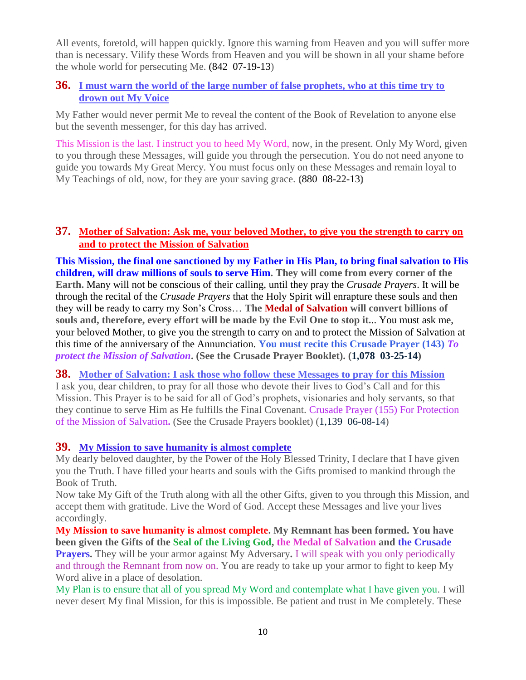All events, foretold, will happen quickly. Ignore this warning from Heaven and you will suffer more than is necessary. Vilify these Words from Heaven and you will be shown in all your shame before the whole world for persecuting Me. (842 07-19-13)

#### **36. [I must warn the world of the large number of false prophets, who at this time try to](http://www.thewarningsecondcoming.com/i-must-warn-the-world-of-the-large-number-of-false-prophets-who-at-this-time-try-to-drown-out-my-voice/)  [drown out My Voice](http://www.thewarningsecondcoming.com/i-must-warn-the-world-of-the-large-number-of-false-prophets-who-at-this-time-try-to-drown-out-my-voice/)**

My Father would never permit Me to reveal the content of the Book of Revelation to anyone else but the seventh messenger, for this day has arrived.

This Mission is the last. I instruct you to heed My Word, now, in the present. Only My Word, given to you through these Messages, will guide you through the persecution. You do not need anyone to guide you towards My Great Mercy. You must focus only on these Messages and remain loyal to My Teachings of old, now, for they are your saving grace. **(**880 08-22-13**)**

#### **37. [Mother of Salvation: Ask me, your beloved Mother, to give you the strength to carry on](http://www.thewarningsecondcoming.com/mother-of-salvation-ask-me-your-beloved-mother-to-give-you-the-strength-to-carry-on-and-to-protect-the-mission-of-salvation/)  [and to protect the Mission of Salvation](http://www.thewarningsecondcoming.com/mother-of-salvation-ask-me-your-beloved-mother-to-give-you-the-strength-to-carry-on-and-to-protect-the-mission-of-salvation/)**

**This Mission, the final one sanctioned by my Father in His Plan, to bring final salvation to His children, will draw millions of souls to serve Him. They will come from every corner of the Earth.** Many will not be conscious of their calling, until they pray the *Crusade Prayers*. It will be through the recital of the *Crusade Prayers* that the Holy Spirit will enrapture these souls and then they will be ready to carry my Son's Cross… **The Medal of Salvation will convert billions of souls and, therefore, every effort will be made by the Evil One to stop it.**.. You must ask me, your beloved Mother, to give you the strength to carry on and to protect the Mission of Salvation at this time of the anniversary of the Annunciation. **You must recite this Crusade Prayer (143)** *To protect the Mission of Salvation***. (See the Crusade Prayer Booklet). (1,078 03-25-14)**

**38. [Mother of Salvation: I ask those who follow these Messages to pray for this Mission](http://www.thewarningsecondcoming.com/mother-of-salvation-i-ask-those-who-follow-these-messages-to-pray-for-this-mission/)** I ask you, dear children, to pray for all those who devote their lives to God's Call and for this Mission. This Prayer is to be said for all of God's prophets, visionaries and holy servants, so that they continue to serve Him as He fulfills the Final Covenant. Crusade Prayer (155) For Protection of the Mission of Salvation**.** (See the Crusade Prayers booklet) (1,139 06-08-14)

#### **39. [My Mission to save humanity is almost complete](http://www.thewarningsecondcoming.com/my-mission-to-save-humanity-is-almost-complete/)**

My dearly beloved daughter, by the Power of the Holy Blessed Trinity, I declare that I have given you the Truth. I have filled your hearts and souls with the Gifts promised to mankind through the Book of Truth.

Now take My Gift of the Truth along with all the other Gifts, given to you through this Mission, and accept them with gratitude. Live the Word of God. Accept these Messages and live your lives accordingly.

**My Mission to save humanity is almost complete. My Remnant has been formed. You have been given the Gifts of the Seal of the Living God, the Medal of Salvation and the Crusade Prayers.** They will be your armor against My Adversary**.** I will speak with you only periodically and through the Remnant from now on. You are ready to take up your armor to fight to keep My Word alive in a place of desolation.

My Plan is to ensure that all of you spread My Word and contemplate what I have given you. I will never desert My final Mission, for this is impossible. Be patient and trust in Me completely. These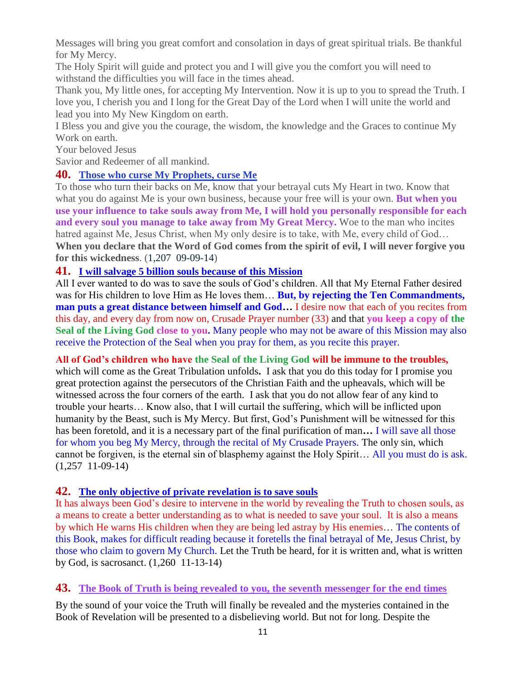Messages will bring you great comfort and consolation in days of great spiritual trials. Be thankful for My Mercy.

The Holy Spirit will guide and protect you and I will give you the comfort you will need to withstand the difficulties you will face in the times ahead.

Thank you, My little ones, for accepting My Intervention. Now it is up to you to spread the Truth. I love you, I cherish you and I long for the Great Day of the Lord when I will unite the world and lead you into My New Kingdom on earth.

I Bless you and give you the courage, the wisdom, the knowledge and the Graces to continue My Work on earth.

Your beloved Jesus

Savior and Redeemer of all mankind.

## **40. [Those who curse My Prophets, curse Me](http://www.thewarningsecondcoming.com/those-who-curse-my-prophets-curse-me/)**

To those who turn their backs on Me, know that your betrayal cuts My Heart in two. Know that what you do against Me is your own business, because your free will is your own. **But when you use your influence to take souls away from Me, I will hold you personally responsible for each and every soul you manage to take away from My Great Mercy.** Woe to the man who incites hatred against Me, Jesus Christ, when My only desire is to take, with Me, every child of God... **When you declare that the Word of God comes from the spirit of evil, I will never forgive you for this wickedness**. (1,207 09-09-14)

#### **41. [I will salvage 5 billion souls because of this Mission](http://www.thewarningsecondcoming.com/i-will-salvage-5-billion-souls-because-of-this-mission/)**

All I ever wanted to do was to save the souls of God's children. All that My Eternal Father desired was for His children to love Him as He loves them… **But, by rejecting the Ten Commandments, man puts a great distance between himself and God…** I desire now that each of you recites from this day, and every day from now on, Crusade Prayer number (33) and that **you keep a copy of the Seal of the Living God close to you.** Many people who may not be aware of this Mission may also receive the Protection of the Seal when you pray for them, as you recite this prayer.

**All of God's children who have the Seal of the Living God will be immune to the troubles,** 

which will come as the Great Tribulation unfolds**.** I ask that you do this today for I promise you great protection against the persecutors of the Christian Faith and the upheavals, which will be witnessed across the four corners of the earth. I ask that you do not allow fear of any kind to trouble your hearts… Know also, that I will curtail the suffering, which will be inflicted upon humanity by the Beast, such is My Mercy. But first, God's Punishment will be witnessed for this has been foretold, and it is a necessary part of the final purification of man**…** I will save all those for whom you beg My Mercy, through the recital of My Crusade Prayers. The only sin, which cannot be forgiven, is the eternal sin of blasphemy against the Holy Spirit… All you must do is ask. (1,257 11-09-14)

## **42. [The only objective of private revelation is to save souls](http://www.thewarningsecondcoming.com/the-only-objective-of-private-revelation-is-to-save-souls/)**

It has always been God's desire to intervene in the world by revealing the Truth to chosen souls, as a means to create a better understanding as to what is needed to save your soul. It is also a means by which He warns His children when they are being led astray by His enemies… The contents of this Book, makes for difficult reading because it foretells the final betrayal of Me, Jesus Christ, by those who claim to govern My Church. Let the Truth be heard, for it is written and, what is written by God, is sacrosanct. (1,260 11-13-14)

## **43. [The Book of Truth is being revealed to you, the seventh messenger for the end times](http://www.thewarningsecondcoming.com/the-book-of-truth-is-being-revealed-to-you-the-seventh-messenger-for-the-end-times-2/)**

By the sound of your voice the Truth will finally be revealed and the mysteries contained in the Book of Revelation will be presented to a disbelieving world. But not for long. Despite the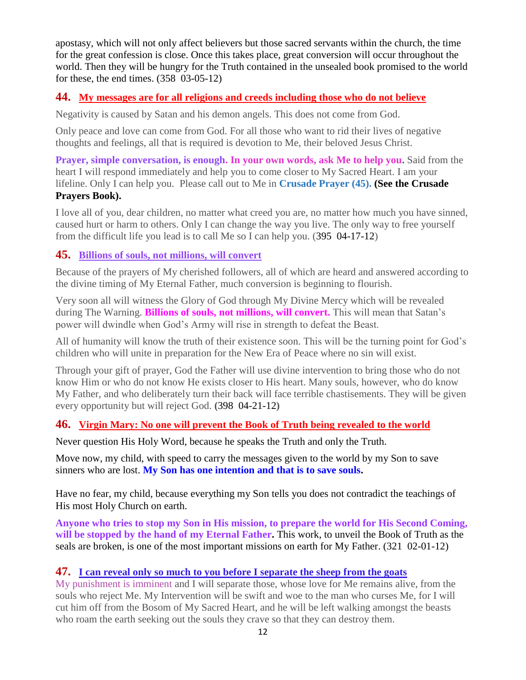apostasy, which will not only affect believers but those sacred servants within the church, the time for the great confession is close. Once this takes place, great conversion will occur throughout the world. Then they will be hungry for the Truth contained in the unsealed book promised to the world for these, the end times. (358 03-05-12)

### **44. [My messages are for all religions and creeds including those who do not believe](http://www.thewarningsecondcoming.com/my-messages-are-for-all-religions-and-creeds-including-those-who-do-not-believe/)**

Negativity is caused by Satan and his demon angels. This does not come from God.

Only peace and love can come from God. For all those who want to rid their lives of negative thoughts and feelings, all that is required is devotion to Me, their beloved Jesus Christ.

**Prayer, simple conversation, is enough. In your own words, ask Me to help you.** Said from the heart I will respond immediately and help you to come closer to My Sacred Heart. I am your lifeline. Only I can help you. Please call out to Me in **Crusade Prayer (45). (See the Crusade Prayers Book).**

I love all of you, dear children, no matter what creed you are, no matter how much you have sinned, caused hurt or harm to others. Only I can change the way you live. The only way to free yourself from the difficult life you lead is to call Me so I can help you. (395 04-17-12)

## **45. [Billions of souls, not millions, will convert](http://www.thewarningsecondcoming.com/billions-of-souls-not-millions-will-convert/)**

Because of the prayers of My cherished followers, all of which are heard and answered according to the divine timing of My Eternal Father, much conversion is beginning to flourish.

Very soon all will witness the Glory of God through My Divine Mercy which will be revealed during The Warning. **Billions of souls, not millions, will convert.** This will mean that Satan's power will dwindle when God's Army will rise in strength to defeat the Beast.

All of humanity will know the truth of their existence soon. This will be the turning point for God's children who will unite in preparation for the New Era of Peace where no sin will exist.

Through your gift of prayer, God the Father will use divine intervention to bring those who do not know Him or who do not know He exists closer to His heart. Many souls, however, who do know My Father, and who deliberately turn their back will face terrible chastisements. They will be given every opportunity but will reject God. **(**398 04-21-12**)**

## **46. [Virgin Mary: No one will prevent the Book of Truth being revealed to the world](http://www.thewarningsecondcoming.com/virgin-mary-no-one-will-prevent-the-book-of-truth-being-revealed-to-the-world/)**

Never question His Holy Word, because he speaks the Truth and only the Truth.

Move now, my child, with speed to carry the messages given to the world by my Son to save sinners who are lost. **My Son has one intention and that is to save souls.**

Have no fear, my child, because everything my Son tells you does not contradict the teachings of His most Holy Church on earth.

**Anyone who tries to stop my Son in His mission, to prepare the world for His Second Coming, will be stopped by the hand of my Eternal Father.** This work, to unveil the Book of Truth as the seals are broken, is one of the most important missions on earth for My Father. (321 02-01-12)

#### **47. [I can reveal only so much to you before I separate the sheep from the goats](http://www.thewarningsecondcoming.com/i-can-reveal-only-so-much-to-you-before-i-separate-the-sheep-from-the-goats/)**

My punishment is imminent and I will separate those, whose love for Me remains alive, from the souls who reject Me. My Intervention will be swift and woe to the man who curses Me, for I will cut him off from the Bosom of My Sacred Heart, and he will be left walking amongst the beasts who roam the earth seeking out the souls they crave so that they can destroy them.